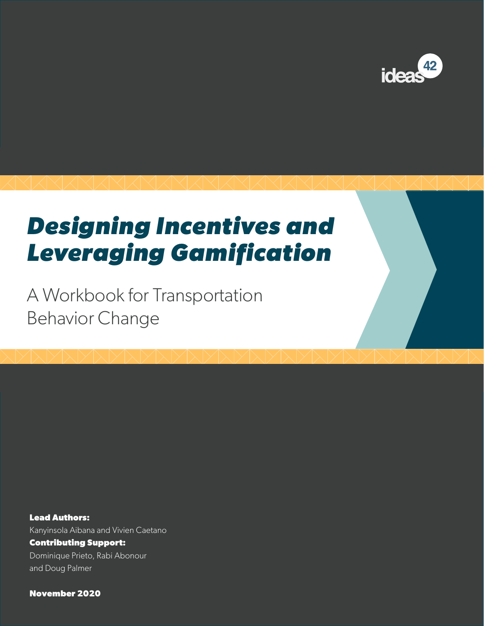

# *Designing Incentives and Leveraging Gamification*

A Workbook for Transportation Behavior Change

**Lead Authors:** Kanyinsola Aibana and Vivien Caetano **Contributing Support:** Dominique Prieto, Rabi Abonour and Doug Palmer

**November 2020**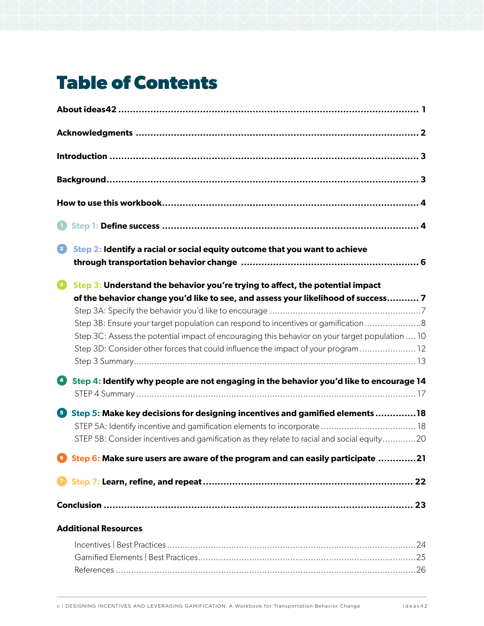## **Table of Contents**

| 2<br>Step 2: Identify a racial or social equity outcome that you want to achieve                                                                                                                                                                                                                                                                                         |
|--------------------------------------------------------------------------------------------------------------------------------------------------------------------------------------------------------------------------------------------------------------------------------------------------------------------------------------------------------------------------|
| $\bullet$<br>Step 3: Understand the behavior you're trying to affect, the potential impact<br>of the behavior change you'd like to see, and assess your likelihood of success 7<br>Step 3B: Ensure your target population can respond to incentives or gamification 8<br>Step 3C: Assess the potential impact of encouraging this behavior on your target population  10 |
| Step 3D: Consider other forces that could influence the impact of your program 12                                                                                                                                                                                                                                                                                        |
| Œ<br>Step 4: Identify why people are not engaging in the behavior you'd like to encourage 14                                                                                                                                                                                                                                                                             |
| Step 5: Make key decisions for designing incentives and gamified elements18<br>STEP 5B: Consider incentives and gamification as they relate to racial and social equity20                                                                                                                                                                                                |
| <b>C</b> Step 6: Make sure users are aware of the program and can easily participate 21                                                                                                                                                                                                                                                                                  |
|                                                                                                                                                                                                                                                                                                                                                                          |
|                                                                                                                                                                                                                                                                                                                                                                          |
| <b>Additional Resources</b>                                                                                                                                                                                                                                                                                                                                              |
|                                                                                                                                                                                                                                                                                                                                                                          |

References [.....................................................................................................................26](#page-27-0)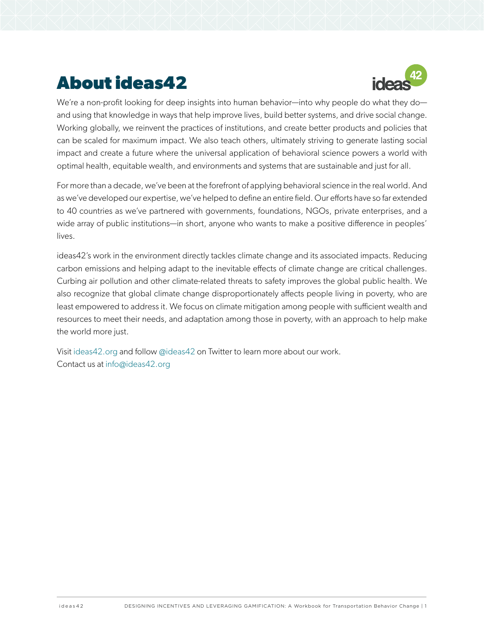## <span id="page-2-0"></span>**About ideas42**



We're a non-profit looking for deep insights into human behavior—into why people do what they do and using that knowledge in ways that help improve lives, build better systems, and drive social change. Working globally, we reinvent the practices of institutions, and create better products and policies that can be scaled for maximum impact. We also teach others, ultimately striving to generate lasting social impact and create a future where the universal application of behavioral science powers a world with optimal health, equitable wealth, and environments and systems that are sustainable and just for all.

For more than a decade, we've been at the forefront of applying behavioral science in the real world. And as we've developed our expertise, we've helped to define an entire field. Our efforts have so far extended to 40 countries as we've partnered with governments, foundations, NGOs, private enterprises, and a wide array of public institutions—in short, anyone who wants to make a positive difference in peoples' lives.

ideas42's work in the environment directly tackles climate change and its associated impacts. Reducing carbon emissions and helping adapt to the inevitable effects of climate change are critical challenges. Curbing air pollution and other climate-related threats to safety improves the global public health. We also recognize that global climate change disproportionately affects people living in poverty, who are least empowered to address it. We focus on climate mitigation among people with sufficient wealth and resources to meet their needs, and adaptation among those in poverty, with an approach to help make the world more just.

Visit [ideas42.org](http://www.ideas42.org) and follow [@ideas42](https://twitter.com/ideas42) on Twitter to learn more about our work. Contact us at [info@ideas42.org](mailto:info%40ideas42.org?subject=Inquiry%20on%20Communications%20Toolkit%20for%20CCC)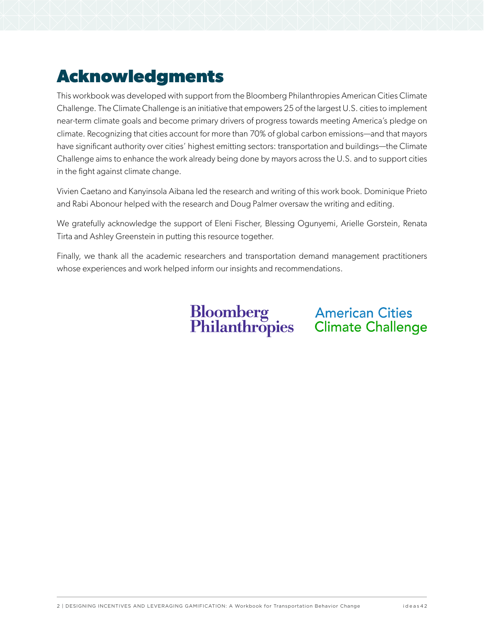## <span id="page-3-0"></span>**Acknowledgments**

This workbook was developed with support from the Bloomberg Philanthropies American Cities Climate Challenge. The Climate Challenge is an initiative that empowers 25 of the largest U.S. cities to implement near-term climate goals and become primary drivers of progress towards meeting America's pledge on climate. Recognizing that cities account for more than 70% of global carbon emissions—and that mayors have significant authority over cities' highest emitting sectors: transportation and buildings—the Climate Challenge aims to enhance the work already being done by mayors across the U.S. and to support cities in the fight against climate change.

Vivien Caetano and Kanyinsola Aibana led the research and writing of this work book. Dominique Prieto and Rabi Abonour helped with the research and Doug Palmer oversaw the writing and editing.

We gratefully acknowledge the support of Eleni Fischer, Blessing Ogunyemi, Arielle Gorstein, Renata Tirta and Ashley Greenstein in putting this resource together.

Finally, we thank all the academic researchers and transportation demand management practitioners whose experiences and work helped inform our insights and recommendations.

**Bloomberg American Cities<br>Philanthropies Climate Challenge**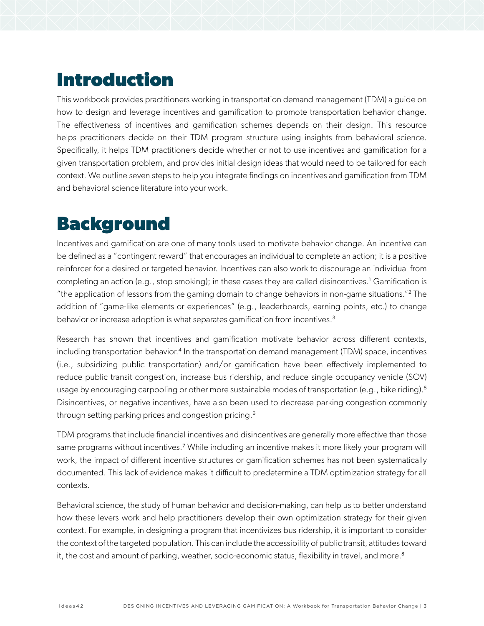## <span id="page-4-0"></span>**Introduction**

This workbook provides practitioners working in transportation demand management (TDM) a guide on how to design and leverage incentives and gamification to promote transportation behavior change. The effectiveness of incentives and gamification schemes depends on their design. This resource helps practitioners decide on their TDM program structure using insights from behavioral science. Specifically, it helps TDM practitioners decide whether or not to use incentives and gamification for a given transportation problem, and provides initial design ideas that would need to be tailored for each context. We outline seven steps to help you integrate findings on incentives and gamification from TDM and behavioral science literature into your work.

## **Background**

Incentives and gamification are one of many tools used to motivate behavior change. An incentive can be defined as a "contingent reward" that encourages an individual to complete an action; it is a positive reinforcer for a desired or targeted behavior. Incentives can also work to discourage an individual from completing an action (e.g., stop smoking); in these cases they are called disincentives.<sup>1</sup> Gamification is "the application of lessons from the gaming domain to change behaviors in non-game situations."<sup>2</sup> The addition of "game-like elements or experiences" (e.g., leaderboards, earning points, etc.) to change behavior or increase adoption is what separates gamification from incentives.<sup>3</sup>

Research has shown that incentives and gamification motivate behavior across different contexts, including transportation behavior.<sup>4</sup> In the transportation demand management (TDM) space, incentives (i.e., subsidizing public transportation) and/or gamification have been effectively implemented to reduce public transit congestion, increase bus ridership, and reduce single occupancy vehicle (SOV) usage by encouraging carpooling or other more sustainable modes of transportation (e.g., bike riding).<sup>5</sup> Disincentives, or negative incentives, have also been used to decrease parking congestion commonly through setting parking prices and congestion pricing.<sup>6</sup>

TDM programs that include financial incentives and disincentives are generally more effective than those same programs without incentives.<sup>7</sup> While including an incentive makes it more likely your program will work, the impact of different incentive structures or gamification schemes has not been systematically documented. This lack of evidence makes it difficult to predetermine a TDM optimization strategy for all contexts.

Behavioral science, the study of human behavior and decision-making, can help us to better understand how these levers work and help practitioners develop their own optimization strategy for their given context. For example, in designing a program that incentivizes bus ridership, it is important to consider the context of the targeted population. This can include the accessibility of public transit, attitudes toward it, the cost and amount of parking, weather, socio-economic status, flexibility in travel, and more.<sup>8</sup>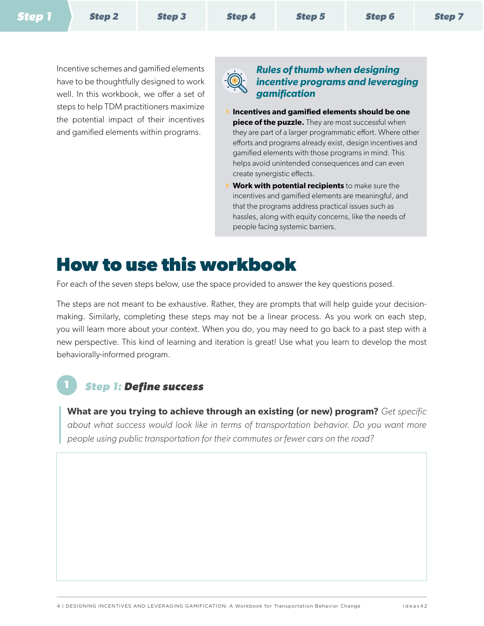<span id="page-5-0"></span>Incentive schemes and gamified elements have to be thoughtfully designed to work well. In this workbook, we offer a set of steps to help TDM practitioners maximize the potential impact of their incentives and gamified elements within programs.



### *Rules of thumb when designing incentive programs and leveraging gamification*

- } **Incentives and gamified elements should be one piece of the puzzle.** They are most successful when they are part of a larger programmatic effort. Where other efforts and programs already exist, design incentives and gamified elements with those programs in mind. This helps avoid unintended consequences and can even create synergistic effects.
- **Work with potential recipients** to make sure the incentives and gamified elements are meaningful, and that the programs address practical issues such as hassles, along with equity concerns, like the needs of people facing systemic barriers.

## **How to use this workbook**

For each of the seven steps below, use the space provided to answer the key questions posed.

The steps are not meant to be exhaustive. Rather, they are prompts that will help guide your decisionmaking. Similarly, completing these steps may not be a linear process. As you work on each step, you will learn more about your context. When you do, you may need to go back to a past step with a new perspective. This kind of learning and iteration is great! Use what you learn to develop the most behaviorally-informed program.

### <span id="page-5-1"></span>**1** *Step 1: Define success*

**What are you trying to achieve through an existing (or new) program?** *Get specific about what success would look like in terms of transportation behavior. Do you want more people using public transportation for their commutes or fewer cars on the road?*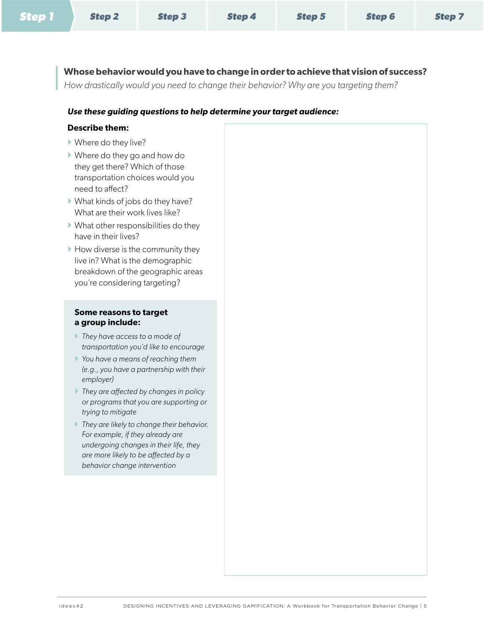|--|

**Whose behavior would you have to change in order to achieve that vision of success?** 

*How drastically would you need to change their behavior? Why are you targeting them?*

#### *Use these guiding questions to help determine your target audience:*

#### **Describe them:**

- } Where do they live?
- } Where do they go and how do they get there? Which of those transportation choices would you need to affect?
- } What kinds of jobs do they have? What are their work lives like?
- $\blacktriangleright$  What other responsibilities do they have in their lives?
- $\blacktriangleright$  How diverse is the community they live in? What is the demographic breakdown of the geographic areas you're considering targeting?

#### **Some reasons to target a group include:**

- } *They have access to a mode of transportation you'd like to encourage*
- } *You have a means of reaching them (e.g., you have a partnership with their employer)*
- } *They are affected by changes in policy or programs that you are supporting or trying to mitigate*
- } *They are likely to change their behavior. For example, if they already are undergoing changes in their life, they are more likely to be affected by a behavior change intervention*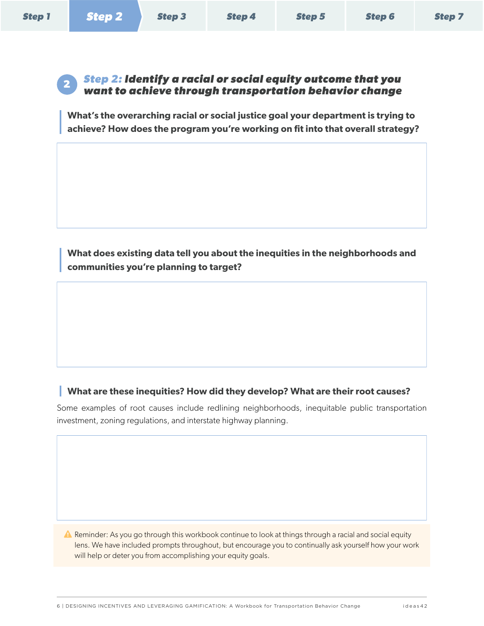<span id="page-7-0"></span>

### <span id="page-7-1"></span>**<sup>2</sup>** *Step 2: Identify a racial or social equity outcome that you want to achieve through transportation behavior change*

**What's the overarching racial or social justice goal your department is trying to achieve? How does the program you're working on fit into that overall strategy?**

**What does existing data tell you about the inequities in the neighborhoods and communities you're planning to target?**

### **What are these inequities? How did they develop? What are their root causes?**

Some examples of root causes include redlining neighborhoods, inequitable public transportation investment, zoning regulations, and interstate highway planning.

**A** Reminder: As you go through this workbook continue to look at things through a racial and social equity lens. We have included prompts throughout, but encourage you to continually ask yourself how your work will help or deter you from accomplishing your equity goals.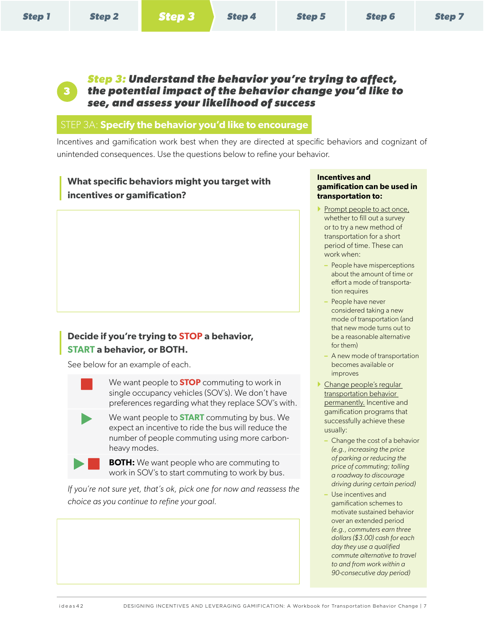<span id="page-8-0"></span>**3**

<span id="page-8-1"></span>*Step 3: Understand the behavior you're trying to affect, the potential impact of the behavior change you'd like to see, and assess your likelihood of success*

### STEP 3A: **Specify the behavior you'd like to encourage**

Incentives and gamification work best when they are directed at specific behaviors and cognizant of unintended consequences. Use the questions below to refine your behavior.

### **What specific behaviors might you target with incentives or gamification?**

### **Decide if you're trying to STOP a behavior, START a behavior, or BOTH.**

See below for an example of each.

 We want people to **STOP** commuting to work in single occupancy vehicles (SOV's). We don't have preferences regarding what they replace SOV's with.

 We want people to **START** commuting by bus. We expect an incentive to ride the bus will reduce the number of people commuting using more carbonheavy modes.

**BOTH:** We want people who are commuting to work in SOV's to start commuting to work by bus.

*If you're not sure yet, that's ok, pick one for now and reassess the choice as you continue to refine your goal.* 

#### **Incentives and gamification can be used in transportation to:**

- Prompt people to act once, whether to fill out a survey or to try a new method of transportation for a short period of time. These can work when:
	- **–** People have misperceptions about the amount of time or effort a mode of transportation requires
	- **–** People have never considered taking a new mode of transportation (and that new mode turns out to be a reasonable alternative for them)
	- **–** A new mode of transportation becomes available or improves
- **Change people's regular** transportation behavior permanently. Incentive and gamification programs that successfully achieve these usually:
	- **–** Change the cost of a behavior *(e.g., increasing the price of parking or reducing the price of commuting; tolling a roadway to discourage driving during certain period)*
	- **–** Use incentives and gamification schemes to motivate sustained behavior over an extended period *(e.g., commuters earn three dollars (\$3.00) cash for each day they use a qualified commute alternative to travel to and from work within a 90-consecutive day period)*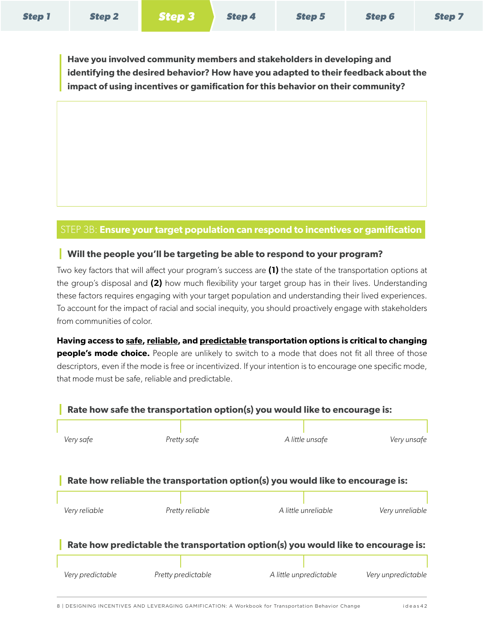<span id="page-9-0"></span>**Have you involved community members and stakeholders in developing and identifying the desired behavior? How have you adapted to their feedback about the impact of using incentives or gamification for this behavior on their community?**

### STEP 3B: **Ensure your target population can respond to incentives or gamification**

### **Will the people you'll be targeting be able to respond to your program?**

Two key factors that will affect your program's success are **(1)** the state of the transportation options at the group's disposal and **(2)** how much flexibility your target group has in their lives. Understanding these factors requires engaging with your target population and understanding their lived experiences. To account for the impact of racial and social inequity, you should proactively engage with stakeholders from communities of color.

**Having access to safe, reliable, and predictable transportation options is critical to changing people's mode choice.** People are unlikely to switch to a mode that does not fit all three of those descriptors, even if the mode is free or incentivized. If your intention is to encourage one specific mode, that mode must be safe, reliable and predictable.

### **Rate how safe the transportation option(s) you would like to encourage is:**

|                  |                    | A little unsafe                                                                   |                    |
|------------------|--------------------|-----------------------------------------------------------------------------------|--------------------|
| Very safe        | Pretty safe        |                                                                                   | Very unsafe        |
|                  |                    |                                                                                   |                    |
|                  |                    | Rate how reliable the transportation option(s) you would like to encourage is:    |                    |
|                  |                    | A little unreliable                                                               |                    |
| Very reliable    | Pretty reliable    |                                                                                   | Very unreliable    |
|                  |                    | Rate how predictable the transportation option(s) you would like to encourage is: |                    |
|                  |                    |                                                                                   |                    |
| Very predictable | Pretty predictable | A little unpredictable                                                            | Very unpredictable |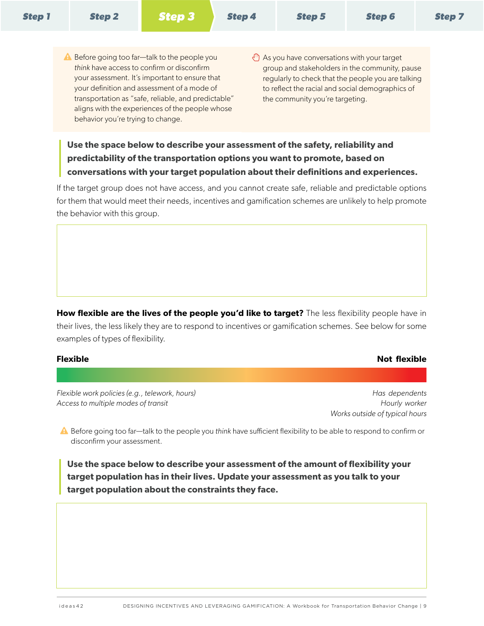- $\triangle$  Before going too far—talk to the people you *think* have access to confirm or disconfirm your assessment. It's important to ensure that your definition and assessment of a mode of transportation as "safe, reliable, and predictable" aligns with the experiences of the people whose behavior you're trying to change.
- $\sqrt{\frac{m}{\pi}}$  As you have conversations with your target group and stakeholders in the community, pause regularly to check that the people you are talking to reflect the racial and social demographics of the community you're targeting.

### **Use the space below to describe your assessment of the safety, reliability and predictability of the transportation options you want to promote, based on conversations with your target population about their definitions and experiences.**

If the target group does not have access, and you cannot create safe, reliable and predictable options for them that would meet their needs, incentives and gamification schemes are unlikely to help promote the behavior with this group.

How flexible are the lives of the people you'd like to target? The less flexibility people have in their lives, the less likely they are to respond to incentives or gamification schemes. See below for some examples of types of flexibility.

#### **Flexible Not flexible**

*Flexible work policies (e.g., telework, hours) Has dependents Access to multiple modes of transit Hourly worker*

 *Works outside of typical hours* 

A Before going too far—talk to the people you *think* have sufficient flexibility to be able to respond to confirm or disconfirm your assessment.

**Use the space below to describe your assessment of the amount of flexibility your target population has in their lives. Update your assessment as you talk to your target population about the constraints they face.**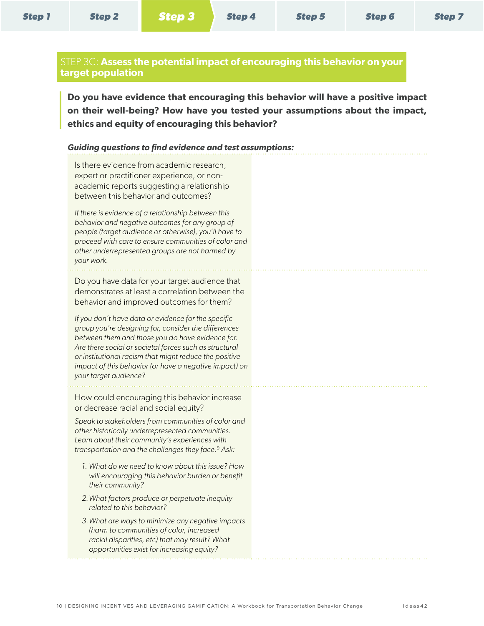### <span id="page-11-0"></span>STEP 3C: **Assess the potential impact of encouraging this behavior on your target population**

**Do you have evidence that encouraging this behavior will have a positive impact on their well-being? How have you tested your assumptions about the impact, ethics and equity of encouraging this behavior?**

#### *Guiding questions to find evidence and test assumptions:*

Is there evidence from academic research, expert or practitioner experience, or nonacademic reports suggesting a relationship between this behavior and outcomes?

*If there is evidence of a relationship between this behavior and negative outcomes for any group of people (target audience or otherwise), you'll have to proceed with care to ensure communities of color and other underrepresented groups are not harmed by your work.*

Do you have data for your target audience that demonstrates at least a correlation between the behavior and improved outcomes for them?

*If you don't have data or evidence for the specific group you're designing for, consider the differences between them and those you do have evidence for. Are there social or societal forces such as structural or institutional racism that might reduce the positive impact of this behavior (or have a negative impact) on your target audience?*

How could encouraging this behavior increase or decrease racial and social equity?

*Speak to stakeholders from communities of color and other historically underrepresented communities. Learn about their community's experiences with transportation and the challenges they face.*<sup>9</sup> *Ask:* 

- *1. What do we need to know about this issue? How will encouraging this behavior burden or benefit their community?*
- *2.What factors produce or perpetuate inequity related to this behavior?*
- *3.What are ways to minimize any negative impacts (harm to communities of color, increased racial disparities, etc) that may result? What opportunities exist for increasing equity?*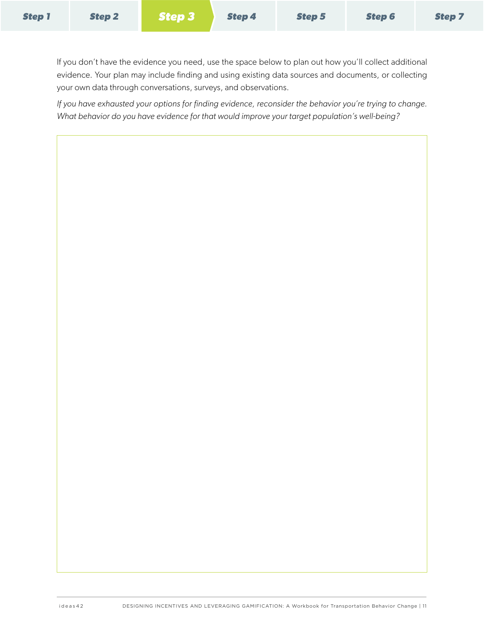If you don't have the evidence you need, use the space below to plan out how you'll collect additional evidence. Your plan may include finding and using existing data sources and documents, or collecting your own data through conversations, surveys, and observations.

*If you have exhausted your options for finding evidence, reconsider the behavior you're trying to change. What behavior do you have evidence for that would improve your target population's well-being?*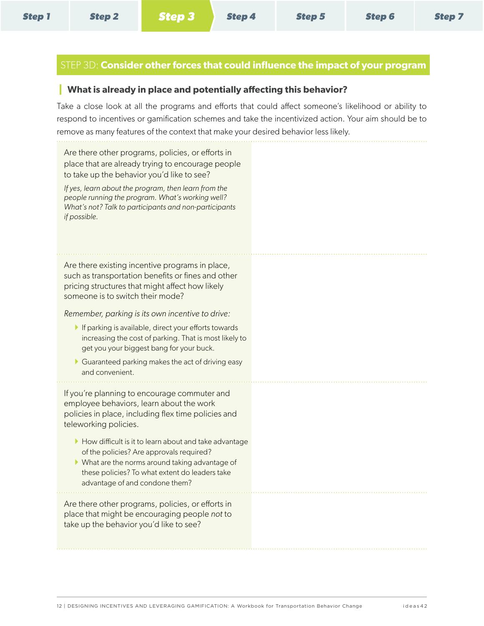### <span id="page-13-0"></span>STEP 3D: **Consider other forces that could influence the impact of your program**

### **What is already in place and potentially affecting this behavior?**

Take a close look at all the programs and efforts that could affect someone's likelihood or ability to respond to incentives or gamification schemes and take the incentivized action. Your aim should be to remove as many features of the context that make your desired behavior less likely.

Are there other programs, policies, or efforts in place that are already trying to encourage people to take up the behavior you'd like to see?

*If yes, learn about the program, then learn from the people running the program. What's working well? What's not? Talk to participants and non-participants if possible.* 

Are there existing incentive programs in place, such as transportation benefits or fines and other pricing structures that might affect how likely someone is to switch their mode?

*Remember, parking is its own incentive to drive:*

- $\blacktriangleright$  If parking is available, direct your efforts towards increasing the cost of parking. That is most likely to get you your biggest bang for your buck.
- $\blacktriangleright$  Guaranteed parking makes the act of driving easy and convenient.

If you're planning to encourage commuter and employee behaviors, learn about the work policies in place, including flex time policies and teleworking policies.

- $\blacktriangleright$  How difficult is it to learn about and take advantage of the policies? Are approvals required?
- $\blacktriangleright$  What are the norms around taking advantage of these policies? To what extent do leaders take advantage of and condone them?

Are there other programs, policies, or efforts in place that might be encouraging people *not* to take up the behavior you'd like to see?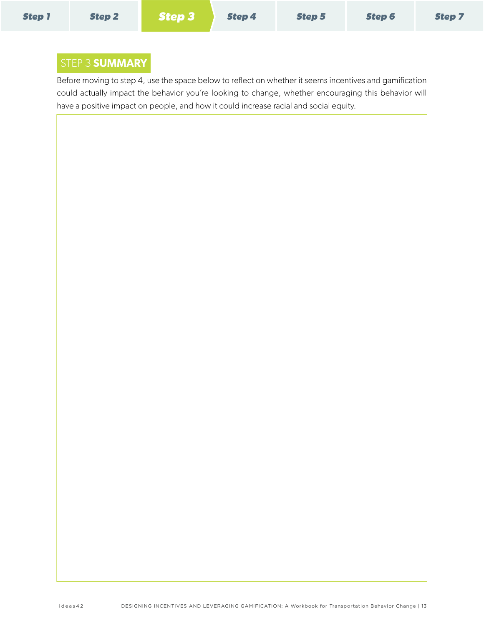### <span id="page-14-0"></span>STEP 3 **SUMMARY**

Before moving to step 4, use the space below to reflect on whether it seems incentives and gamification could actually impact the behavior you're looking to change, whether encouraging this behavior will have a positive impact on people, and how it could increase racial and social equity.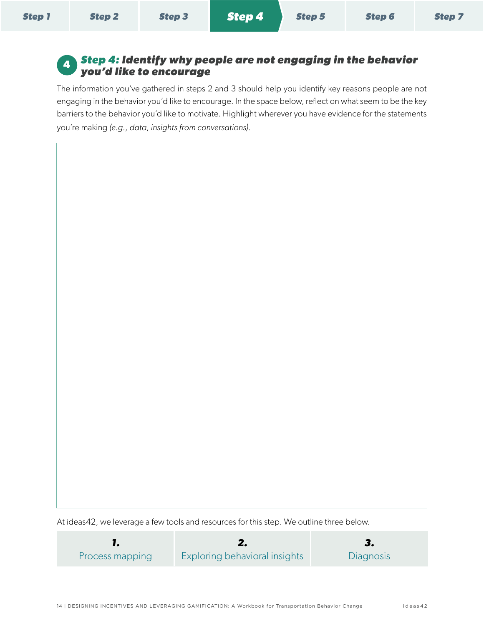<span id="page-15-0"></span>

| <b>Step 1</b> | Step 2 | Step 3 Step 4 Step 5 | <b>Step 6</b> | <b>Step 7</b> |
|---------------|--------|----------------------|---------------|---------------|
|               |        |                      |               |               |

### <span id="page-15-1"></span>**<sup>4</sup>** *Step 4: Identify why people are not engaging in the behavior you'd like to encourage*

The information you've gathered in steps 2 and 3 should help you identify key reasons people are not engaging in the behavior you'd like to encourage. In the space below, reflect on what seem to be the key barriers to the behavior you'd like to motivate. Highlight wherever you have evidence for the statements you're making *(e.g., data, insights from conversations).* 

At ideas42, we leverage a few tools and resources for this step. We outline three below.

<span id="page-15-2"></span>

| Process mapping | <b>Exploring behavioral insights</b> | <b>Diagnosis</b> |
|-----------------|--------------------------------------|------------------|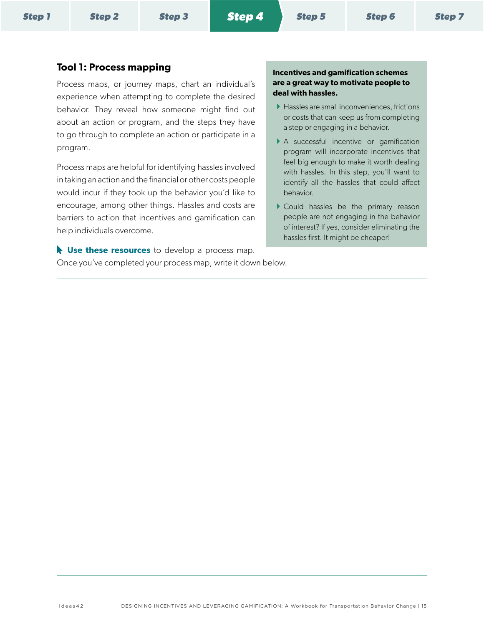### **Tool 1: Process mapping Incentives and gamification schemes**

Process maps, or journey maps, chart an individual's experience when attempting to complete the desired behavior. They reveal how someone might find out about an action or program, and the steps they have to go through to complete an action or participate in a program.

Process maps are helpful for identifying hassles involved in taking an action and the financial or other costs people would incur if they took up the behavior you'd like to encourage, among other things. Hassles and costs are barriers to action that incentives and gamification can help individuals overcome.

**List [Use these resources](https://drive.google.com/drive/folders/1WuNtsZYdSunLZKVAHBmH-1bMaELDH3SZ?usp=sharing)** to develop a process map. Once you've completed your process map, write it down below.

### **are a great way to motivate people to deal with hassles.**

- ▶ Hassles are small inconveniences, frictions or costs that can keep us from completing a step or engaging in a behavior.
- } A successful incentive or gamification program will incorporate incentives that feel big enough to make it worth dealing with hassles. In this step, you'll want to identify all the hassles that could affect behavior.
- } Could hassles be the primary reason people are not engaging in the behavior of interest? If yes, consider eliminating the hassles first. It might be cheaper!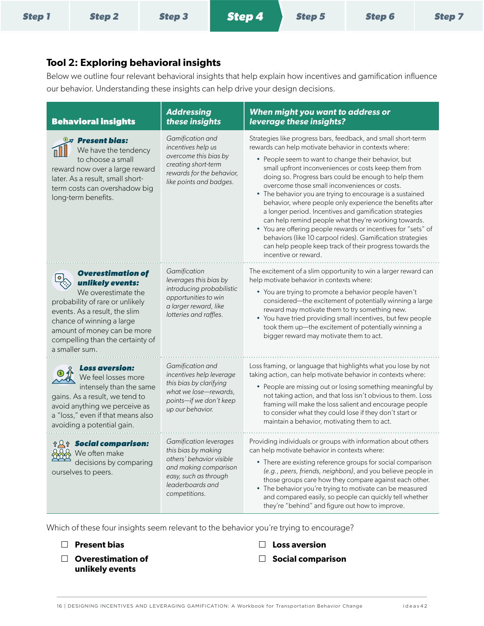| <b>Step 1</b> | Step 2 | Step 3 Step 4 | Step 5 | <b>Step 6</b> | <b>Step 7</b> |
|---------------|--------|---------------|--------|---------------|---------------|
|               |        |               |        |               |               |

### <span id="page-17-0"></span>**Tool 2: Exploring behavioral insights**

Below we outline four relevant behavioral insights that help explain how incentives and gamification influence our behavior. Understanding these insights can help drive your design decisions.

| <b>Behavioral insights</b>                                                                                                                                                                                                                                | <b>Addressing</b><br>these insights                                                                                                                              | When might you want to address or<br>leverage these insights?                                                                                                                                                                                                                                                                                                                                                                                                                                                                                                                                                                                                                                                                                                                                                  |
|-----------------------------------------------------------------------------------------------------------------------------------------------------------------------------------------------------------------------------------------------------------|------------------------------------------------------------------------------------------------------------------------------------------------------------------|----------------------------------------------------------------------------------------------------------------------------------------------------------------------------------------------------------------------------------------------------------------------------------------------------------------------------------------------------------------------------------------------------------------------------------------------------------------------------------------------------------------------------------------------------------------------------------------------------------------------------------------------------------------------------------------------------------------------------------------------------------------------------------------------------------------|
| $\mathbb{S}\mathcal{A}$ Present bias:<br>We have the tendency<br>to choose a small<br>reward now over a large reward<br>later. As a result, small short-<br>term costs can overshadow big<br>long-term benefits.                                          | Gamification and<br>incentives help us<br>overcome this bias by<br>creating short-term<br>rewards for the behavior,<br>like points and badges.                   | Strategies like progress bars, feedback, and small short-term<br>rewards can help motivate behavior in contexts where:<br>• People seem to want to change their behavior, but<br>small upfront inconveniences or costs keep them from<br>doing so. Progress bars could be enough to help them<br>overcome those small inconveniences or costs.<br>• The behavior you are trying to encourage is a sustained<br>behavior, where people only experience the benefits after<br>a longer period. Incentives and gamification strategies<br>can help remind people what they're working towards.<br>• You are offering people rewards or incentives for "sets" of<br>behaviors (like 10 carpool rides). Gamification strategies<br>can help people keep track of their progress towards the<br>incentive or reward. |
| <b>Overestimation of</b><br>unlikely events:<br>We overestimate the<br>probability of rare or unlikely<br>events. As a result, the slim<br>chance of winning a large<br>amount of money can be more<br>compelling than the certainty of<br>a smaller sum. | Gamification<br>leverages this bias by<br>introducing probabilistic<br>opportunities to win<br>a larger reward, like<br>lotteries and raffles.                   | The excitement of a slim opportunity to win a larger reward can<br>help motivate behavior in contexts where:<br>• You are trying to promote a behavior people haven't<br>considered-the excitement of potentially winning a large<br>reward may motivate them to try something new.<br>• You have tried providing small incentives, but few people<br>took them up-the excitement of potentially winning a<br>bigger reward may motivate them to act.                                                                                                                                                                                                                                                                                                                                                          |
| <b>Loss aversion:</b><br>We feel losses more<br>intensely than the same<br>gains. As a result, we tend to<br>avoid anything we perceive as<br>a "loss," even if that means also<br>avoiding a potential gain.                                             | Gamification and<br>incentives help leverage<br>this bias by clarifying<br>what we lose-rewards,<br>points-if we don't keep<br>up our behavior.                  | Loss framing, or language that highlights what you lose by not<br>taking action, can help motivate behavior in contexts where:<br>• People are missing out or losing something meaningful by<br>not taking action, and that loss isn't obvious to them. Loss<br>framing will make the loss salient and encourage people<br>to consider what they could lose if they don't start or<br>maintain a behavior, motivating them to act.                                                                                                                                                                                                                                                                                                                                                                             |
| <b><i>AA</i><sup>t</sup> Social comparison:</b><br>AA We often make<br>decisions by comparing<br>ourselves to peers.                                                                                                                                      | Gamification leverages<br>this bias by making<br>others' behavior visible<br>and making comparison<br>easy, such as through<br>leaderboards and<br>competitions. | Providing individuals or groups with information about others<br>can help motivate behavior in contexts where:<br>• There are existing reference groups for social comparison<br>(e.g., peers, friends, neighbors), and you believe people in<br>those groups care how they compare against each other.<br>• The behavior you're trying to motivate can be measured<br>and compared easily, so people can quickly tell whether<br>they're "behind" and figure out how to improve.                                                                                                                                                                                                                                                                                                                              |

Which of these four insights seem relevant to the behavior you're trying to encourage?

- £ **Present bias**
- □ Overestimation of **unlikely events**
- £ **Loss aversion**
- £ **Social comparison**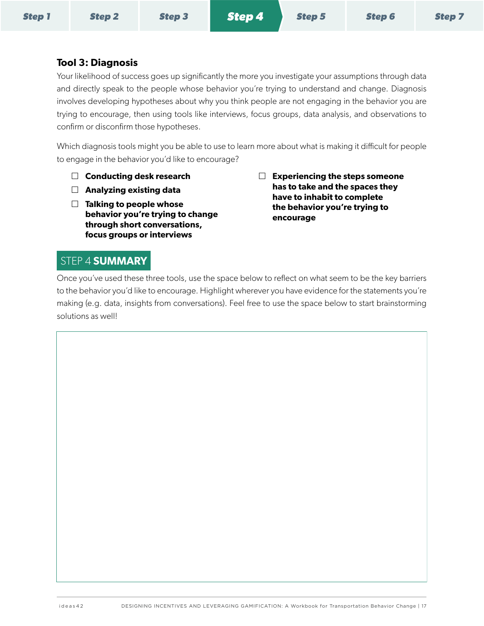### <span id="page-18-1"></span><span id="page-18-0"></span>**Tool 3: Diagnosis**

Your likelihood of success goes up significantly the more you investigate your assumptions through data and directly speak to the people whose behavior you're trying to understand and change. Diagnosis involves developing hypotheses about why you think people are not engaging in the behavior you are trying to encourage, then using tools like interviews, focus groups, data analysis, and observations to confirm or disconfirm those hypotheses.

Which diagnosis tools might you be able to use to learn more about what is making it difficult for people to engage in the behavior you'd like to encourage?

- £ **Conducting desk research**
- £ **Analyzing existing data**
- £ **Talking to people whose behavior you're trying to change through short conversations, focus groups or interviews**
- £ **Experiencing the steps someone has to take and the spaces they have to inhabit to complete the behavior you're trying to encourage**

### STEP 4 **SUMMARY**

Once you've used these three tools, use the space below to reflect on what seem to be the key barriers to the behavior you'd like to encourage. Highlight wherever you have evidence for the statements you're making (e.g. data, insights from conversations). Feel free to use the space below to start brainstorming solutions as well!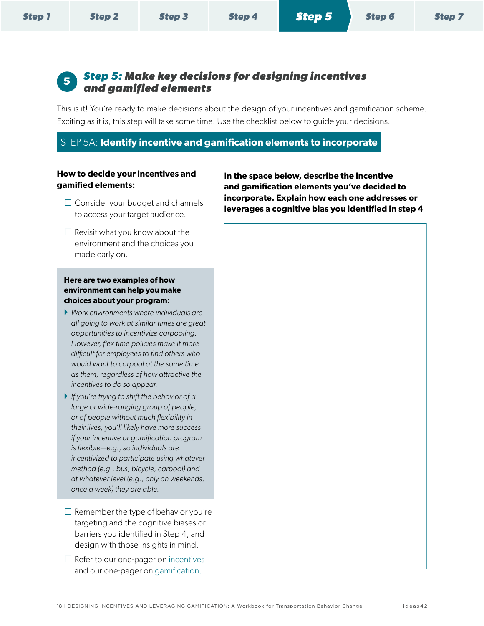<span id="page-19-0"></span>

| <b>Step 1</b> | <b>Step 2</b> | <b>Step 3</b> | <b>Step 4</b> | Step 5 | <b>Step 6</b> | <b>Step 7</b> |
|---------------|---------------|---------------|---------------|--------|---------------|---------------|
|---------------|---------------|---------------|---------------|--------|---------------|---------------|

### <span id="page-19-1"></span>**<sup>5</sup>** *Step 5: Make key decisions for designing incentives and gamified elements*

This is it! You're ready to make decisions about the design of your incentives and gamification scheme. Exciting as it is, this step will take some time. Use the checklist below to guide your decisions.

### STEP 5A: **Identify incentive and gamification elements to incorporate**

#### **How to decide your incentives and gamified elements:**

- $\square$  Consider your budget and channels to access your target audience.
- $\Box$  Revisit what you know about the environment and the choices you made early on.

#### **Here are two examples of how environment can help you make choices about your program:**

- } *Work environments where individuals are all going to work at similar times are great opportunities to incentivize carpooling. However, flex time policies make it more difficult for employees to find others who would want to carpool at the same time as them, regardless of how attractive the incentives to do so appear.*
- } *If you're trying to shift the behavior of a large or wide-ranging group of people, or of people without much flexibility in their lives, you'll likely have more success if your incentive or gamification program is flexible—e.g., so individuals are incentivized to participate using whatever method (e.g., bus, bicycle, carpool) and at whatever level (e.g., only on weekends, once a week) they are able.*
- $\Box$  Remember the type of behavior you're targeting and the cognitive biases or barriers you identified in Step 4, and design with those insights in mind.
- $\Box$  Refer to our one-pager on incentives and our one-pager on [gamification](#page-26-1).

**In the space below, describe the incentive and gamification elements you've decided to incorporate. Explain how each one addresses or leverages a cognitive bias you identified in step 4**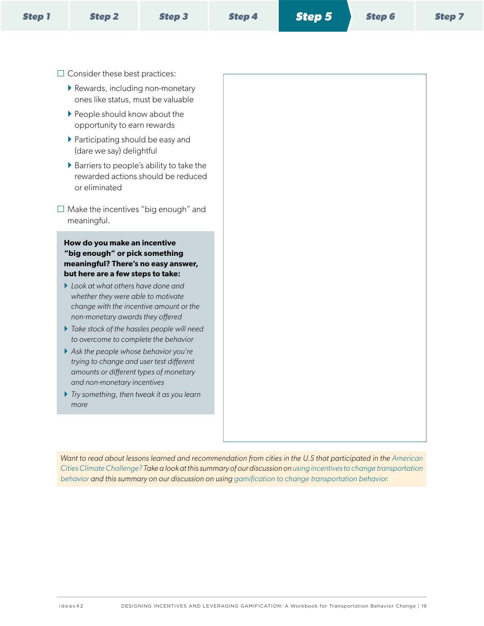|--|

- $\square$  Consider these best practices:
	- $\blacktriangleright$  Rewards, including non-monetary ones like status, must be valuable
	- ▶ People should know about the opportunity to earn rewards
	- ▶ Participating should be easy and (dare we say) delightful
	- } Barriers to people's ability to take the rewarded actions should be reduced or eliminated
- $\square$  Make the incentives "big enough" and meaningful.

**How do you make an incentive "big enough" or pick something meaningful? There's no easy answer, but here are a few steps to take:** 

- } *Look at what others have done and whether they were able to motivate change with the incentive amount or the non-monetary awards they offered*
- } *Take stock of the hassles people will need to overcome to complete the behavior*
- } *Ask the people whose behavior you're trying to change and user test different amounts or different types of monetary and non-monetary incentives*
- } *Try something, then tweak it as you learn more*

*Want to read about lessons learned and recommendation from cities in the U.S that participated in the American [Cities Climate Challenge?](https://www.bloomberg.org/program/environment/climatechallenge/) Take a look at this summary of our discussion on [using incentives to change transportation](https://ideas42.app.box.com/s/uei8jfjslokk1a071bwofjnx9439a8rf)  [behavior a](https://ideas42.app.box.com/s/uei8jfjslokk1a071bwofjnx9439a8rf)nd this summary on our discussion on using gamification to change transportation behavior.*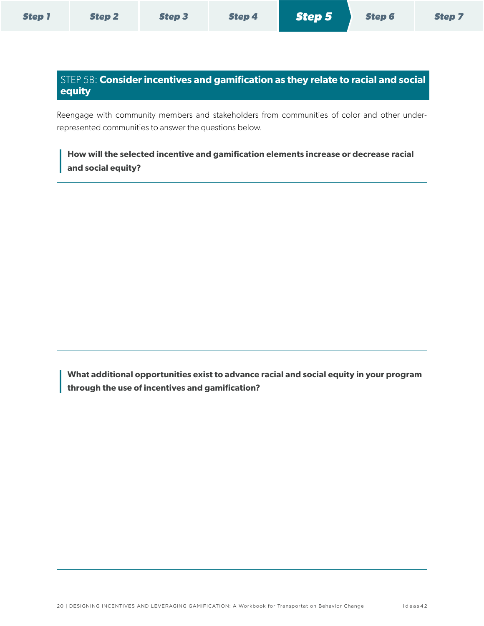### <span id="page-21-0"></span>STEP 5B: **Consider incentives and gamification as they relate to racial and social equity**

Reengage with community members and stakeholders from communities of color and other underrepresented communities to answer the questions below.

### **How will the selected incentive and gamification elements increase or decrease racial and social equity?**

**What additional opportunities exist to advance racial and social equity in your program through the use of incentives and gamification?**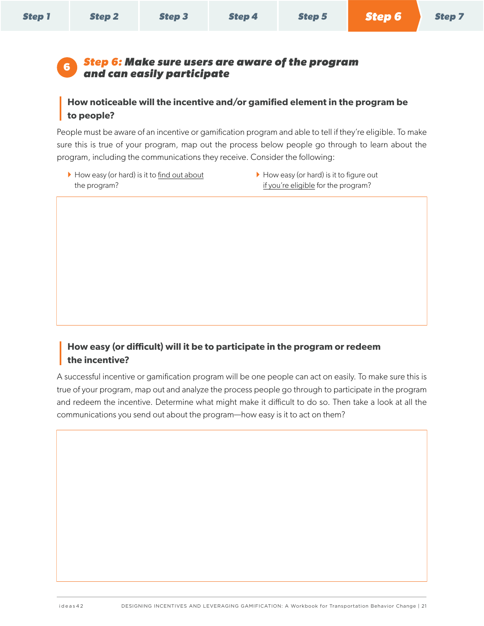<span id="page-22-0"></span>

|  | <b>Step 1</b> | <b>Step 2</b> | <b>Step 3</b> | <b>Step 4</b> | <b>Step 5</b> | <b>Step 6</b> | <b>Step 7</b> |  |
|--|---------------|---------------|---------------|---------------|---------------|---------------|---------------|--|
|--|---------------|---------------|---------------|---------------|---------------|---------------|---------------|--|

### <span id="page-22-1"></span>**<sup>6</sup>** *Step 6: Make sure users are aware of the program and can easily participate*

### **How noticeable will the incentive and/or gamified element in the program be to people?**

People must be aware of an incentive or gamification program and able to tell if they're eligible. To make sure this is true of your program, map out the process below people go through to learn about the program, including the communications they receive. Consider the following:

- $\blacktriangleright$  How easy (or hard) is it to find out about the program?
- $\blacktriangleright$  How easy (or hard) is it to figure out if you're eligible for the program?

### **How easy (or difficult) will it be to participate in the program or redeem the incentive?**

A successful incentive or gamification program will be one people can act on easily. To make sure this is true of your program, map out and analyze the process people go through to participate in the program and redeem the incentive. Determine what might make it difficult to do so. Then take a look at all the communications you send out about the program—how easy is it to act on them?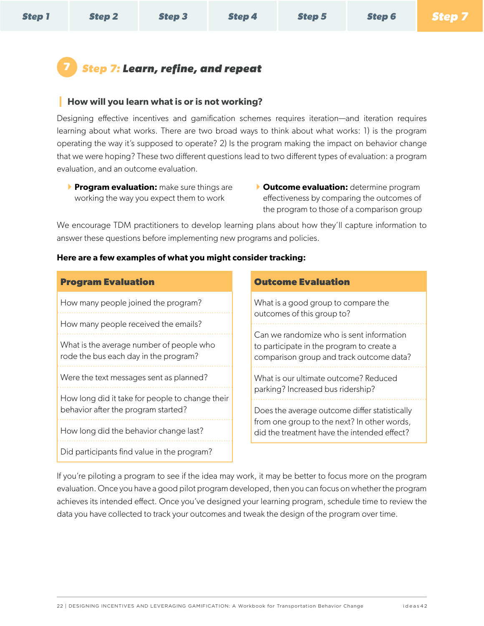*[Step 6](#page-22-1)*

## <span id="page-23-1"></span><span id="page-23-0"></span>**7** *Step 7: Learn, refine, and repeat*

### **How will you learn what is or is not working?**

Designing effective incentives and gamification schemes requires iteration—and iteration requires learning about what works. There are two broad ways to think about what works: 1) is the program operating the way it's supposed to operate? 2) Is the program making the impact on behavior change that we were hoping? These two different questions lead to two different types of evaluation: a program evaluation, and an outcome evaluation.

- **Program evaluation:** make sure things are working the way you expect them to work
- } **Outcome evaluation:** determine program effectiveness by comparing the outcomes of the program to those of a comparison group

We encourage TDM practitioners to develop learning plans about how they'll capture information to answer these questions before implementing new programs and policies.

### **Here are a few examples of what you might consider tracking:**

| <b>Program Evaluation</b>                                                              |
|----------------------------------------------------------------------------------------|
| How many people joined the program?                                                    |
| How many people received the emails?                                                   |
| What is the average number of people who<br>rode the bus each day in the program?      |
| Were the text messages sent as planned?                                                |
| How long did it take for people to change their<br>behavior after the program started? |
| How long did the behavior change last?                                                 |
| Did participants find value in the program?                                            |

### **Outcome Evaluation**

What is a good group to compare the outcomes of this group to? Can we randomize who is sent information to participate in the program to create a comparison group and track outcome data? What is our ultimate outcome? Reduced parking? Increased bus ridership? Does the average outcome differ statistically from one group to the next? In other words, did the treatment have the intended effect?

If you're piloting a program to see if the idea may work, it may be better to focus more on the program evaluation. Once you have a good pilot program developed, then you can focus on whether the program achieves its intended effect. Once you've designed your learning program, schedule time to review the data you have collected to track your outcomes and tweak the design of the program over time.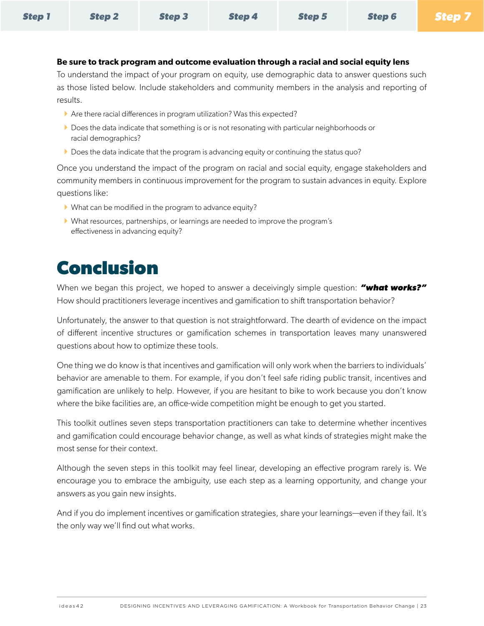<span id="page-24-0"></span>

| <b>Step 1</b> | Step 2 | <b>Step 3</b> | Step 4 | Step 5 | <b>Step 6 Step 7</b> |  |
|---------------|--------|---------------|--------|--------|----------------------|--|
|---------------|--------|---------------|--------|--------|----------------------|--|

#### **Be sure to track program and outcome evaluation through a racial and social equity lens**

To understand the impact of your program on equity, use demographic data to answer questions such as those listed below. Include stakeholders and community members in the analysis and reporting of results.

- } Are there racial differences in program utilization? Was this expected?
- $\blacktriangleright$  Does the data indicate that something is or is not resonating with particular neighborhoods or racial demographics?
- } Does the data indicate that the program is advancing equity or continuing the status quo?

Once you understand the impact of the program on racial and social equity, engage stakeholders and community members in continuous improvement for the program to sustain advances in equity. Explore questions like:

- } What can be modified in the program to advance equity?
- } What resources, partnerships, or learnings are needed to improve the program's effectiveness in advancing equity?

## **Conclusion**

When we began this project, we hoped to answer a deceivingly simple question: *"what works?"* How should practitioners leverage incentives and gamification to shift transportation behavior?

Unfortunately, the answer to that question is not straightforward. The dearth of evidence on the impact of different incentive structures or gamification schemes in transportation leaves many unanswered questions about how to optimize these tools.

One thing we do know is that incentives and gamification will only work when the barriers to individuals' behavior are amenable to them. For example, if you don't feel safe riding public transit, incentives and gamification are unlikely to help. However, if you are hesitant to bike to work because you don't know where the bike facilities are, an office-wide competition might be enough to get you started.

This toolkit outlines seven steps transportation practitioners can take to determine whether incentives and gamification could encourage behavior change, as well as what kinds of strategies might make the most sense for their context.

Although the seven steps in this toolkit may feel linear, developing an effective program rarely is. We encourage you to embrace the ambiguity, use each step as a learning opportunity, and change your answers as you gain new insights.

And if you do implement incentives or gamification strategies, share your learnings—even if they fail. It's the only way we'll find out what works.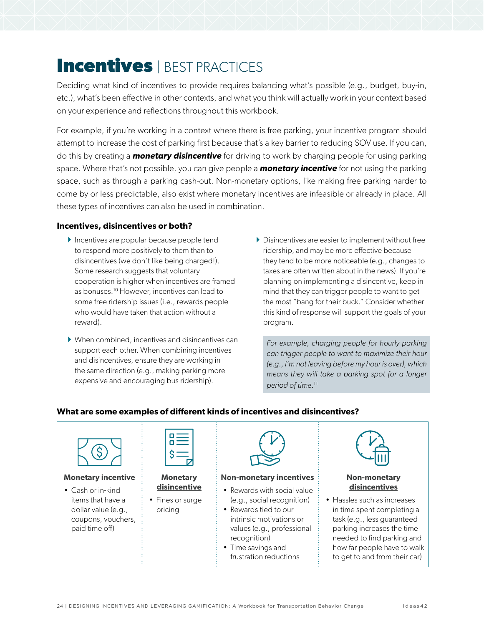## <span id="page-25-0"></span>**Incentives** | BEST PRACTICES

Deciding what kind of incentives to provide requires balancing what's possible (e.g., budget, buy-in, etc.), what's been effective in other contexts, and what you think will actually work in your context based on your experience and reflections throughout this workbook.

For example, if you're working in a context where there is free parking, your incentive program should attempt to increase the cost of parking first because that's a key barrier to reducing SOV use. If you can, do this by creating a *monetary disincentive* for driving to work by charging people for using parking space. Where that's not possible, you can give people a *monetary incentive* for not using the parking space, such as through a parking cash-out. Non-monetary options, like making free parking harder to come by or less predictable, also exist where monetary incentives are infeasible or already in place. All these types of incentives can also be used in combination.

#### **Incentives, disincentives or both?**

- } Incentives are popular because people tend to respond more positively to them than to disincentives (we don't like being charged!). Some research suggests that voluntary cooperation is higher when incentives are framed as bonuses.<sup>10</sup> However, incentives can lead to some free ridership issues (i.e., rewards people who would have taken that action without a reward).
- } When combined, incentives and disincentives can support each other. When combining incentives and disincentives, ensure they are working in the same direction (e.g., making parking more expensive and encouraging bus ridership).
- <span id="page-25-1"></span>} Disincentives are easier to implement without free ridership, and may be more effective because they tend to be more noticeable (e.g., changes to taxes are often written about in the news). If you're planning on implementing a disincentive, keep in mind that they can trigger people to want to get the most "bang for their buck." Consider whether this kind of response will support the goals of your program.

*For example, charging people for hourly parking can trigger people to want to maximize their hour (e.g., I'm not leaving before my hour is over), which means they will take a parking spot for a longer period of time.*<sup>11</sup>

#### **What are some examples of different kinds of incentives and disincentives?**

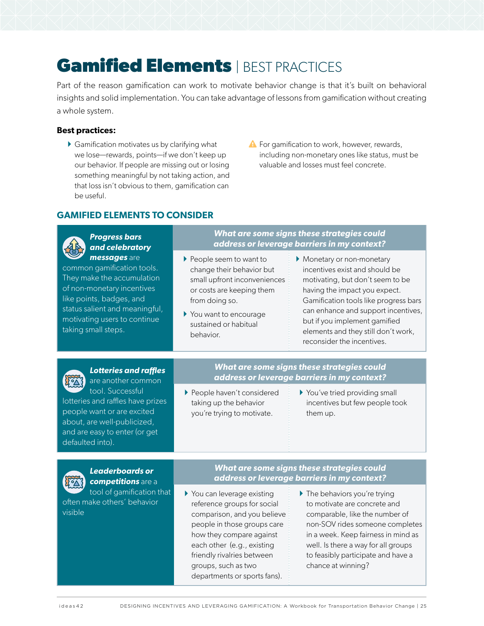## <span id="page-26-1"></span><span id="page-26-0"></span>**Gamified Elements | BEST PRACTICES**

Part of the reason gamification can work to motivate behavior change is that it's built on behavioral insights and solid implementation. You can take advantage of lessons from gamification without creating a whole system.

#### **Best practices:**

- $\blacktriangleright$  Gamification motivates us by clarifying what we lose—rewards, points—if we don't keep up our behavior. If people are missing out or losing something meaningful by not taking action, and that loss isn't obvious to them, gamification can be useful.
- $\triangle$  For gamification to work, however, rewards, including non-monetary ones like status, must be valuable and losses must feel concrete.

### **GAMIFIED ELEMENTS TO CONSIDER**

| <b>Progress bars</b><br>and celebratory<br>messages are<br>common gamification tools.<br>They make the accumulation<br>of non-monetary incentives<br>like points, badges, and<br>status salient and meaningful,<br>motivating users to continue<br>taking small steps. | What are some signs these strategies could<br>address or leverage barriers in my context?                                                                                                                                                                               |                                                                                                                                                                                                                                                                                                                       |
|------------------------------------------------------------------------------------------------------------------------------------------------------------------------------------------------------------------------------------------------------------------------|-------------------------------------------------------------------------------------------------------------------------------------------------------------------------------------------------------------------------------------------------------------------------|-----------------------------------------------------------------------------------------------------------------------------------------------------------------------------------------------------------------------------------------------------------------------------------------------------------------------|
|                                                                                                                                                                                                                                                                        | ▶ People seem to want to<br>change their behavior but<br>small upfront inconveniences<br>or costs are keeping them<br>from doing so.<br>▶ You want to encourage<br>sustained or habitual<br>behavior.                                                                   | Monetary or non-monetary<br>incentives exist and should be<br>motivating, but don't seem to be<br>having the impact you expect.<br>Gamification tools like progress bars<br>can enhance and support incentives,<br>but if you implement gamified<br>elements and they still don't work,<br>reconsider the incentives. |
| <b>Lotteries and raffles</b><br>are another common<br>tool. Successful<br>lotteries and raffles have prizes<br>people want or are excited<br>about, are well-publicized,<br>and are easy to enter (or get<br>defaulted into).                                          | What are some signs these strategies could<br>address or leverage barriers in my context?                                                                                                                                                                               |                                                                                                                                                                                                                                                                                                                       |
|                                                                                                                                                                                                                                                                        | People haven't considered<br>taking up the behavior<br>you're trying to motivate.                                                                                                                                                                                       | You've tried providing small<br>incentives but few people took<br>them up.                                                                                                                                                                                                                                            |
| <b>Leaderboards or</b><br>competitions are a<br>tool of gamification that<br>often make others' behavior<br>visible                                                                                                                                                    | What are some signs these strategies could<br>address or leverage barriers in my context?                                                                                                                                                                               |                                                                                                                                                                                                                                                                                                                       |
|                                                                                                                                                                                                                                                                        | ▶ You can leverage existing<br>reference groups for social<br>comparison, and you believe<br>people in those groups care<br>how they compare against<br>each other (e.g., existing<br>friendly rivalries between<br>groups, such as two<br>departments or sports fans). | The behaviors you're trying<br>to motivate are concrete and<br>comparable, like the number of<br>non-SOV rides someone completes<br>in a week. Keep fairness in mind as<br>well. Is there a way for all groups<br>to feasibly participate and have a<br>chance at winning?                                            |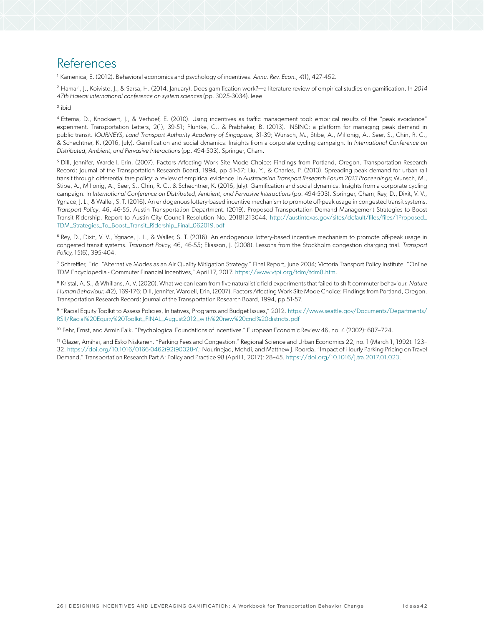### <span id="page-27-0"></span>References

<sup>1</sup> Kamenica, E. (2012). Behavioral economics and psychology of incentives. *Annu. Rev. Econ., 4*(1), 427-452.

<sup>2</sup> Hamari, J., Koivisto, J., & Sarsa, H. (2014, January). Does gamification work?—a literature review of empirical studies on gamification. In *2014 47th Hawaii international conference on system sciences* (pp. 3025-3034). Ieee.

<sup>3</sup> ibid

<sup>4</sup> Ettema, D., Knockaert, J., & Verhoef, E. (2010). Using incentives as traffic management tool: empirical results of the "peak avoidance" experiment. Transportation Letters, 2(1), 39-51; Pluntke, C., & Prabhakar, B. (2013). INSINC: a platform for managing peak demand in public transit. *JOURNEYS, Land Transport Authority Academy of Singapore,* 31-39; Wunsch, M., Stibe, A., Millonig, A., Seer, S., Chin, R. C., & Schechtner, K. (2016, July). Gamification and social dynamics: Insights from a corporate cycling campaign. In *International Conference on Distributed, Ambient, and Pervasive Interactions* (pp. 494-503). Springer, Cham.

<sup>5</sup> Dill, Jennifer, Wardell, Erin, (2007). Factors Affecting Work Site Mode Choice: Findings from Portland, Oregon. Transportation Research Record: Journal of the Transportation Research Board, 1994, pp 51-57; Liu, Y., & Charles, P. (2013). Spreading peak demand for urban rail transit through differential fare policy: a review of empirical evidence. In *Australasian Transport Research Forum 2013 Proceedings;* Wunsch, M., Stibe, A., Millonig, A., Seer, S., Chin, R. C., & Schechtner, K. (2016, July). Gamification and social dynamics: Insights from a corporate cycling campaign. In International Conference on Distributed, Ambient, and Pervasive Interactions (pp. 494-503). Springer, Cham; Rey, D., Dixit, V. V., Ygnace, J. L., & Waller, S. T. (2016). An endogenous lottery-based incentive mechanism to promote off-peak usage in congested transit systems. *Transport Policy*, 46, 46-55. Austin Transportation Department. (2019). Proposed Transportation Demand Management Strategies to Boost Transit Ridership. Report to Austin City Council Resolution No. 20181213044. [http://austintexas.gov/sites/default/files/files/1Proposed\\_](http://austintexas.gov/sites/default/files/files/1Proposed_TDM_Strategies_To_Boost_Transit_Ridership_Final_062019.pdf) [TDM\\_Strategies\\_To\\_Boost\\_Transit\\_Ridership\\_Final\\_062019.pdf](http://austintexas.gov/sites/default/files/files/1Proposed_TDM_Strategies_To_Boost_Transit_Ridership_Final_062019.pdf)

<sup>6</sup> Rey, D., Dixit, V. V., Ygnace, J. L., & Waller, S. T. (2016). An endogenous lottery-based incentive mechanism to promote off-peak usage in congested transit systems. *Transport Policy,* 46, 46-55; Eliasson, J. (2008). Lessons from the Stockholm congestion charging trial. *Transport Policy,* 15(6), 395-404.

<sup>7</sup> Schreffler, Eric. "Alternative Modes as an Air Quality Mitigation Strategy." Final Report, June 2004; Victoria Transport Policy Institute. "Online TDM Encyclopedia - Commuter Financial Incentives," April 17, 2017. [https://www.vtpi.org/tdm/tdm8.htm.](https://www.vtpi.org/tdm/tdm8.htm)

<sup>8</sup> Kristal, A. S., & Whillans, A. V. (2020). What we can learn from five naturalistic field experiments that failed to shift commuter behaviour. *Nature Human Behaviour, 4*(2), 169-176; Dill, Jennifer, Wardell, Erin, (2007). Factors Affecting Work Site Mode Choice: Findings from Portland, Oregon. Transportation Research Record: Journal of the Transportation Research Board, 1994, pp 51-57.

<sup>9</sup> "Racial Equity Toolkit to Assess Policies, Initiatives, Programs and Budget Issues," 2012. [https://www.seattle.gov/Documents/Departments/](https://www.seattle.gov/Documents/Departments/RSJI/Racial%20Equity%20Toolkit_FINAL_August2012_with%20new%20cncl%20districts.pdf) [RSJI/Racial%20Equity%20Toolkit\\_FINAL\\_August2012\\_with%20new%20cncl%20districts.pdf](https://www.seattle.gov/Documents/Departments/RSJI/Racial%20Equity%20Toolkit_FINAL_August2012_with%20new%20cncl%20districts.pdf)

<sup>10</sup> Fehr, Ernst, and Armin Falk. "Psychological Foundations of Incentives." European Economic Review 46, no. 4 (2002): 687-724.

<sup>11</sup> Glazer, Amihai, and Esko Niskanen. "Parking Fees and Congestion." Regional Science and Urban Economics 22, no. 1 (March 1, 1992): 123– 32. [https://doi.org/10.1016/0166-0462\(92\)90028-Y.](https://doi.org/10.1016/0166-0462(92)90028-Y); Nourinejad, Mehdi, and Matthew J. Roorda. "Impact of Hourly Parking Pricing on Travel Demand." Transportation Research Part A: Policy and Practice 98 (April 1, 2017): 28–45. <https://doi.org/10.1016/j.tra.2017.01.023>.